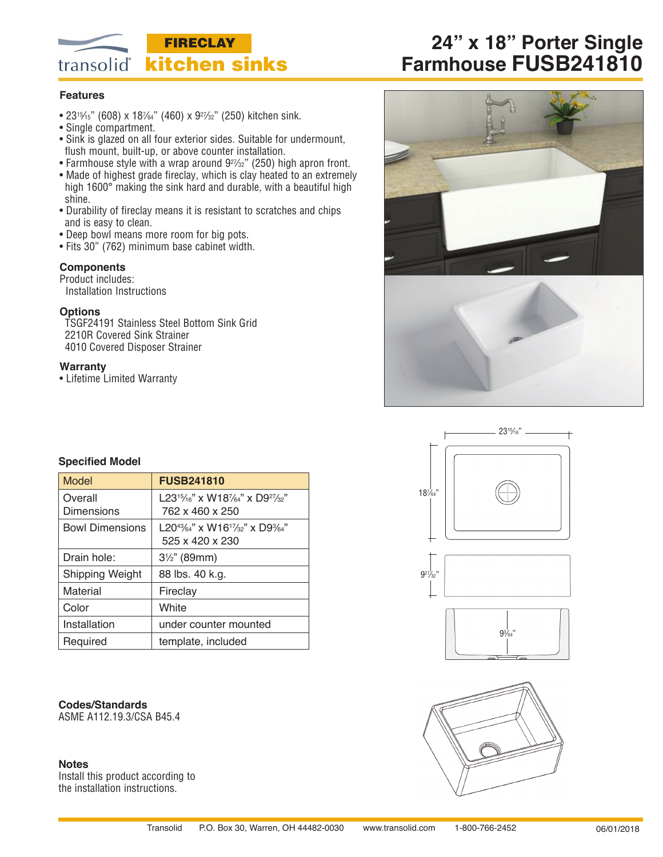

# **24" x 18" Porter Single Farmhouse FUSB241810**

## **Features**

- 2315⁄15" (608) x 187⁄64" (460) x 927⁄32" (250) kitchen sink.
- Single compartment.
- Sink is glazed on all four exterior sides. Suitable for undermount, flush mount, built-up, or above counter installation.
- Farmhouse style with a wrap around 9<sup>27/32</sup>" (250) high apron front.
- Made of highest grade fireclay, which is clay heated to an extremely high 1600° making the sink hard and durable, with a beautiful high
- shine. • Durability of fireclay means it is resistant to scratches and chips
- and is easy to clean.
- Deep bowl means more room for big pots.
- Fits 30" (762) minimum base cabinet width.

## **Components**

Product includes:

Installation Instructions

### **Options**

TSGF24191 Stainless Steel Bottom Sink Grid 2210R Covered Sink Strainer 4010 Covered Disposer Strainer

### **Warranty**

• Lifetime Limited Warranty







## **Specified Model**

| Model                  | <b>FUSB241810</b>                                                                                             |
|------------------------|---------------------------------------------------------------------------------------------------------------|
| Overall                | L23 <sup>15</sup> /16" x W187/64" x D9 <sup>27</sup> /32"                                                     |
| Dimensions             | 762 x 460 x 250                                                                                               |
| <b>Bowl Dimensions</b> | L20 <sup>43</sup> / <sub>64</sub> " x W16 <sup>17</sup> / <sub>32</sub> " x D9 <sup>3</sup> / <sub>64</sub> " |
|                        | 525 x 420 x 230                                                                                               |
| Drain hole:            | $3\frac{1}{2}$ " (89mm)                                                                                       |
| Shipping Weight        | 88 lbs. 40 k.g.                                                                                               |
| Material               | Fireclay                                                                                                      |
| Color                  | White                                                                                                         |
| Installation           | under counter mounted                                                                                         |
| Required               | template, included                                                                                            |

**Codes/Standards** ASME A112.19.3/CSA B45.4

## **Notes**

Install this product according to the installation instructions.